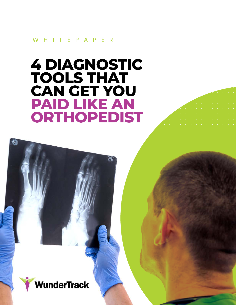WHITEPAPER

# **4 DIAGNOSTIC TOOLS THAT CAN GET YOU PAID LIKE AN ORTHOPEDIST**



O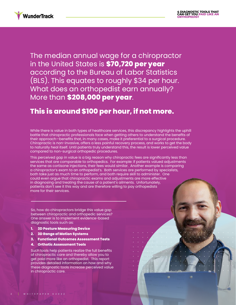

The median annual wage for a chiropractor in the United States is **[\\$70,720 per year](https://www.bls.gov/ooh/healthcare/chiropractors.htm)** according to the Bureau of Labor Statistics (BLS). This equates to roughly \$34 per hour. What does an orthopedist earn annually? More than **[\\$208,000 per year](https://www.bls.gov/ooh/healthcare/physicians-and-surgeons.htm)**.

### **This is around \$100 per hour, if not more.**

While there is value in both types of healthcare services, this discrepancy highlights the uphill battle that chiropractic professionals face when getting others to understand the benefits of their approach—benefits that, in many cases, make it preferential to a surgical procedure. Chiropractic is non-invasive, offers a less painful recovery process, and works to get the body to naturally heal itself. Until patients truly understand this, the result is lower perceived value compared to non-surgical orthopedic procedures.

This perceived gap in value is a big reason why chiropractic fees are significantly less than services that are comparable to orthopedics. For example: if patients valued adjustments the same as cortisone injections, their fees would similar. Another example is comparing a chiropractor's exam to an orthopedist's. Both services are performed by specialists, both take just as much time to perform, and both require skill to administer. One could even argue that chiropractic exams and adjustments are more effective in diagnosing and treating the cause of a patient's ailments. Unfortunately, patients don't see it this way and are therefore willing to pay orthopedists more for their services.

So, how do chiropractors bridge this value gap between chiropractic and orthopedic services? One answer is to implement evidence-based diagnostic tools such as:

- **1. 3D Posture Measuring Device**
- **2. 3D Range of Motion Systems**
- **3. Functional Outcomes Assessment Tests**
- **4. Orthotic Assessment Tools**

Such tools help patients realize the full benefits of chiropractic care and thereby allow you to get paid more like an orthopedist. This report provides detailed information on how and why these diagnostic tools increase perceived value in chiropractic care.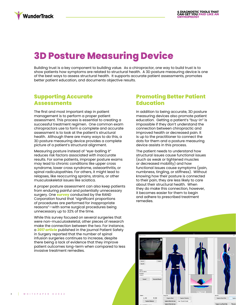# **3D Posture Measuring Device**

Building trust is a key component to building value. As a chiropractor, one way to build trust is to show patients how symptoms are related to structural health. A 3D posture measuring device is one of the best ways to assess structural health. It supports accurate patient assessments, promotes better patient education, and documents objective results.

### **Supporting Accurate Assessments**

The first and most important step in patient management is to perform a proper patient assessment. This process is essential to creating a successful treatment regimen. One common exam chiropractors use to form a complete and accurate assessment is to look at the patient's structural health. Although there are many ways to do this, a 3D posture measuring device provides a complete picture of a patient's structural alignment.

Measuring posture instead of "eye-balling it" reduces risk factors associated with inaccurate results. For some patients, improper posture exams may lead to chronic conditions like upper cross syndrome, lower cross syndrome, osteoarthritis, or spinal radiculopathies. For others, it might lead to relapses, like reoccurring sprains, strains, or other musculoskeletal issues like sciatica.

A proper posture assessment can also keep patients from enduring painful and potentially unnecessary surgery. One **[survey](https://www.rand.org/pubs/research_briefs/RB4522.html)** conducted by the RAND Corporation found that "significant proportions of procedures are performed for inappropriate reasons"—with some surgical procedures being unnecessary up to 32% of the time.

While this survey focused on several surgeries that were non-musculoskeletal, other pieces of research make the connection between the two. For instance, a **[2017 article](https://www.ncbi.nlm.nih.gov/pmc/articles/PMC5234149/)** published in the journal Patient Safety in Surgery reported that the number of spinal infusion surgeries continues to increase, despite there being a lack of evidence that they improve patient outcomes long-term when compared to less invasive treatment remedies.

### **Promoting Better Patient Education**

In addition to being accurate, 3D posture measuring devices also promote patient education. Getting a patient's "buy-in" is impossible if they don't understand the connection between chiropractic and improved health or decreased pain. It is up to the practitioner to connect the dots for them and a posture measuring device assists in this process.

The patient needs to understand how structural issues cause functional issues (such as weak or tightened muscles or decreased mobility) and how functional issues cause symptoms (pain, numbness, tingling, or stiffness). Without knowing how their posture is connected to their pain, they are less likely to care about their structural health. When they do make this connection, however, it becomes easier for them to begin and adhere to prescribed treatment remedies.

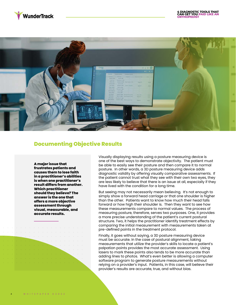



### **Documenting Objective Results**

**A major issue that frustrates patients and causes them to lose faith in a practitioner's abilities is when one practitioner's result differs from another. Which practitioner should they believe? The answer is the one that offers a more objective assessment through visual, measurable, and accurate results.** 

Visually displaying results using a posture measuring device is one of the best ways to demonstrate objectivity. The patient must be able to easily see their posture and then compare it to normal posture. In other words, a 3D posture measuring device adds diagnostic validity by offering visually comparative assessments. If the patient cannot trust what they see with their own two eyes, they are less likely to believe that there is an issue at all, especially if they have lived with the condition for a long time.

But seeing may not necessarily mean believing. It's not enough to simply show a forward head carriage or that one shoulder is higher than the other. Patients want to know how much their head falls forward or how high their shoulder is. Then they want to see how these measurements compare to normal values. The process of measuring posture, therefore, serves two purposes. One, it provides a more precise understanding of the patient's current postural structure. Two, it helps the practitioner identify treatment effects by comparing the initial measurement with measurements taken at pre-defined points in the treatment protocol.

Finally, it goes without saying, a 3D posture measuring device must be accurate. In the case of postural alignment, taking measurements that utilize the provider's skills to locate a patient's palpation points provides the most accurate assessment. Using lasers to mark these points also tends to be more accurate than adding lines to photos. What's even better is allowing a computer software program to generate posture measurements without relying on a provider's input. Patients, in this case, will believe their provider's results are accurate, true, and without bias.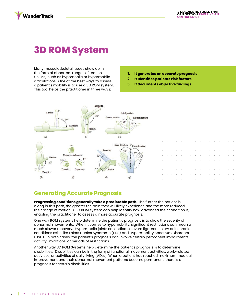### **WunderTrack**

## **3D ROM System**

Many musculoskeletal issues show up in the form of abnormal ranges of motion (ROMs) such as hypomobile or hypermobile articulations. One of the best ways to assess a patient's mobility is to use a 3D ROM system. This tool helps the practitioner in three ways:

- **1. It generates an accurate prognosis**
- **2. It Identifies patients risk factors**
- **3. It documents objective findings**



### **Generating Accurate Prognosis**

**Progressing conditions generally take a predictable path.** The further the patient is along in this path, the greater the pain they will likely experience and the more reduced their range of motion. A 3D ROM system can help identify how advanced their condition is, enabling the practitioner to assess a more accurate prognosis.

One way ROM systems help determine the patient's prognosis is to show the severity of abnormal movements. When it comes to hypomobility, significant restrictions can mean a much slower recovery. Hypermobile joints can indicate severe ligament injury or if chronic conditions exist, like Ehlers Danlos Syndrome (EDS) and Hypermobility Spectrum Disorders (HSD). In both cases, the patient's prognosis can involve certain permanent impairments, activity limitations, or periods of restrictions.

Another way 3D ROM Systems help determine the patient's prognosis is to determine disabilities. Disabilities can be in the form of functional movement activities, work-related activities, or activities of daily living (ADLs). When a patient has reached maximum medical improvement and their abnormal movement patterns become permanent, there is a prognosis for certain disabilities.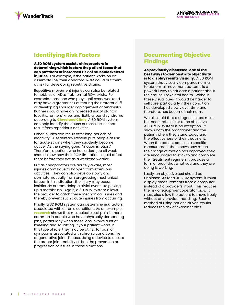

### **Identifying Risk Factors**

**A 3D ROM system assists chiropractors in determining which factors the patient faces that can put them at increased risk of musculoskeletal injuries.** For example, if the patient works on an assembly line, their abnormal ROM could put them at risk for developing repetitive strains.

Repetitive movement injuries can also be related to hobbies or ADLs if abnormal ROM exists. For example, someone who plays golf every weekend may have a greater risk of tearing their rotator cuff or developing shoulder impingement or tendonitis. Runners could have an increased risk of plantar fasciitis, runners' knee, and iliotibial band syndrome according to **[Cleveland Clinic](https://health.clevelandclinic.org/the-most-common-running-injuries-plus-how-to-treat-them/)**. A 3D ROM system can help identify the cause of these issues that result from repetitious activities.

Other injuries can result after long periods of inactivity. A sedentary lifestyle puts people at risk for acute strains when they suddenly become active. As the saying goes, "motion is lotion." Therefore, a patient who has a desk job all week should know how their ROM limitations could affect them before they act as a weekend warrior.

But as chiropractors are acutely aware, most injuries don't have to happen from strenuous activities. They can also develop slowly and asymptomatically from progressing mechanical issues. In this situation, the injury may occur insidiously or from doing a trivial event like picking up a toothbrush. Again, a 3D ROM system allows the provider to catch these mechanical issues and thereby prevent such acute injuries from occurring.

Finally, a 3D ROM system can determine risk factors associated with chronic conditions. As an example, **[research](https://www.ncbi.nlm.nih.gov/pmc/articles/PMC3249791/)** shows that musculoskeletal pain is more common in people who have physically demanding jobs, particularly when those jobs involve a lot of kneeling and squatting. If your patient works in this type of role, they may be at risk for pain or symptoms associated with chronic conditions like degenerative joint disease. Using a device to assess the proper joint mobility aids in the prevention or progression of issues in these situations.

### **Documenting Objective Findings**

**As previously discussed, one of the best ways to demonstrate objectivity is to display results visually.** A 3D ROM system that visually compares normal to abnormal movement patterns is a powerful way to educate a patient about their musculoskeletal health. Without these visual cues, it would be harder to sell care, particularly if their condition has developed slowly over time and, therefore, has become their norm.

We also said that a diagnostic test must be measurable if it is to be objective. A 3D ROM system is no exception. It shows both the practitioner and the patient where they stand today and the effectiveness of their treatment. When the patient can see a specific measurement that shows how much their range of motion has improved, they are encouraged to stick to and complete their treatment regimen. It provides a form of proof that what you and they are doing is working.

Lastly, an objective test should be unbiased. As for a 3D ROM system, it must display measurements from a computer instead of a provider's input. This reduces the risk of equipment operator bias. It must also allow the patient to move freely without any provider handling. Such a method of using patient-driven results reduces the risk of examiner bias.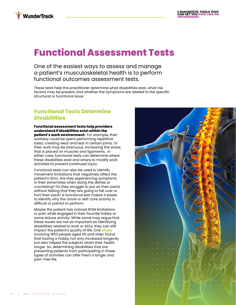

### **Functional Assessment Tests**

One of the easiest ways to assess and manage a patient's musculoskeletal health is to perform functional outcomes assessment tests.

These tests help the practitioner determine what disabilities exist, what risk factors may be present, and whether the symptoms are related to the specific structural or functional issue.

### **Functional Tests Determine Disabilities**

**Functional assessment tests help providers understand if disabilities exist within the patient's work environment.** For example, their workday could be spent performing repetitive tasks, creating wear and tear in certain joints. Or their work may be strenuous, increasing the stress that is placed on muscles and ligaments. In either case, functional tests can determine where these disabilities exist and where to modify work activities to prevent continued injury.

Functional tests can also be used to identify movement limitations that negatively affect the patient's ADLs. Are they experiencing symptoms in their extremities when doing the dishes or crocheting? Do they struggle to put on their pants without feeling that they are going to fall over or hurt their back? A functional test makes it easier to identify why the chore or self-care activity is difficult or painful to perform.

Maybe the patient has noticed ROM limitations or pain while engaged in their favorite hobby or some leisure activity. While some may argue that these issues are not as important as identifying disabilities related to work or ADLs, they can still impact the patient's quality of life. One **[study](https://www.ncbi.nlm.nih.gov/pmc/articles/PMC4919481/)** involving 1853 people aged 65 and older found that having a hobby not only increased longevity but also helped the subjects retain their health longer. So, determining disabilities that are preventing patients from participating in these types of activities can offer them a longer and pain-free life.

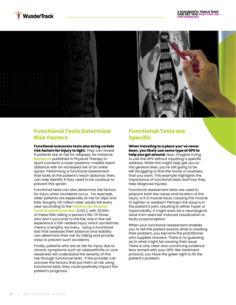



#### **Functional Tests Determine Risk Factors**

#### **Functional outcomes tests also bring certain**

**risk factors for injury to light.** They can reveal if patients are at risk for relapses, for instance. **[Research](https://www.sciencedirect.com/science/article/abs/pii/S1466853X16300542)** published in Physical Therapy in Sport connects a lower posterior-medial reach distance with an increased risk of an ankle sprain. Performing a functional assessment that looks at the patient's reach distance, then, can help identify if they need to be cautious to prevent this sprain.

Functional tests can also determine risk factors for injury when accidents occur. For example, older patients are especially at risk for slips and falls. Roughly 26 million older adults fall every year according to the **[Centers for Disease](https://www.cdc.gov/injury/features/older-adult-falls/index.html)  [Control and Prevention](https://www.cdc.gov/injury/features/older-adult-falls/index.html)** (CDC), with 32,000 of these falls taking a person's life. Of those who don't succumb to the fall, one in five will experience a fall-related injury which sometimes means a lengthy recovery. Using a functional test that assesses their balance and stability can determine their risk for falling and provide ways to prevent such accidents.

Finally, patients who are at risk for injury due to chronic symptoms such as osteoarthritis or core weakness will understand the severity of this risk through functional tests. If the provider can uncover the factors that put them at risk using functional tests, they could positively impact the patient's prognosis.

#### **Functional Tests are Specific**

**When traveling to a place you've never been, you likely use some type of GPS to help you get around.** Now, imagine trying to use the GPS without inputting a specific address. While this might help get you to the general area, you're still going to be left struggling to find the home or business that you want. This example highlights the importance of functional tests and how they help diagnose injuries.

Functional assessment tests are used to pinpoint both the cause and location of the injury. Is it a muscle issue, causing the muscle to tighten or weaken? Perhaps the issue is in the patient's joint, resulting in either hyper or hypomobility. It might even be a neurological issue from exercise-induced claudication or faulty proprioception.

When your functional assessment enables you to tell the patient exactly what is creating their problem, you become the practitioner who supplies answers. There is no guessing as to what might be causing their issue. There is only clear and convincing evidence. Now armed with your GPS-like treatment protocol, you have the green light to fix the patient's problem.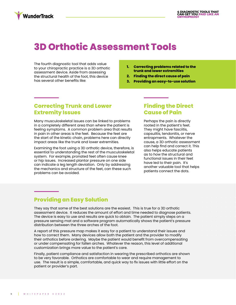## **3D Orthotic Assessment Tools**

The fourth diagnostic tool that adds value to your chiropractic practice is a 3D orthotic assessment device. Aside from assessing the structural health of the foot, this device has several other benefits like:

**WunderTrack** 

- **1. Correcting problems related to the trunk and lower extremities**
- **2. Finding the direct cause of pain**
- **3. Providing an easy-to-use solution**

### **Correcting Trunk and Lower Extremity Issues**

Many musculoskeletal issues can be linked to problems in a completely different area than where the patient is feeling symptoms. A common problem area that results in pain in other areas is the feet. Because the feet are the start of the kinetic chain, problems here can directly impact areas like the trunk and lower extremities.

Examining the foot using a 3D orthotic device, therefore, is essential to understanding the rest of the musculoskeletal system. For example, pronated feet often cause knee or hip issues. Increased plantar pressure on one side can indicate a leg length deviation. Only by addressing the mechanics and structure of the feet, can these such problems can be avoided.

#### **Finding the Direct Cause of Pain**

Perhaps the pain is directly rooted in the patient's feet. They might have fasciitis, capsulitis, tendonitis, or nerve entrapments. Whatever the cause, a 3D orthotic assessment can help find and correct it. This also helps educate patients as to how the structural and functional issues in their feet have led to their pain. It's another valuable tool that helps patients connect the dots.

### **Providing an Easy Solution**

They say that some of the best solutions are the easiest. This is true for a 3D orthotic assessment device. It reduces the amount of effort and time needed to diagnose patients. The device is easy to use and results are quick to obtain. The patient simply steps on a pressure sensing mat and a software program automatically shows the patient's pressure distribution between the three arches of the foot.

A report of this pressure map makes it easy for a patient to understand their issues and how to correct them. Many devices allow both the patient and the provider to modify their orthotics before ordering. Maybe the patient would benefit from overcompensating or under compensating for fallen arches. Whatever the reason, this level of additional customization brings more value to the patient's care.

Finally, patient compliance and satisfaction in wearing the prescribed orthotics are shown to be very favorable. Orthotics are comfortable to wear and require management to use. The result is a simple, comfortable, and quick way to fix issues with little effort on the patient or provider's part.